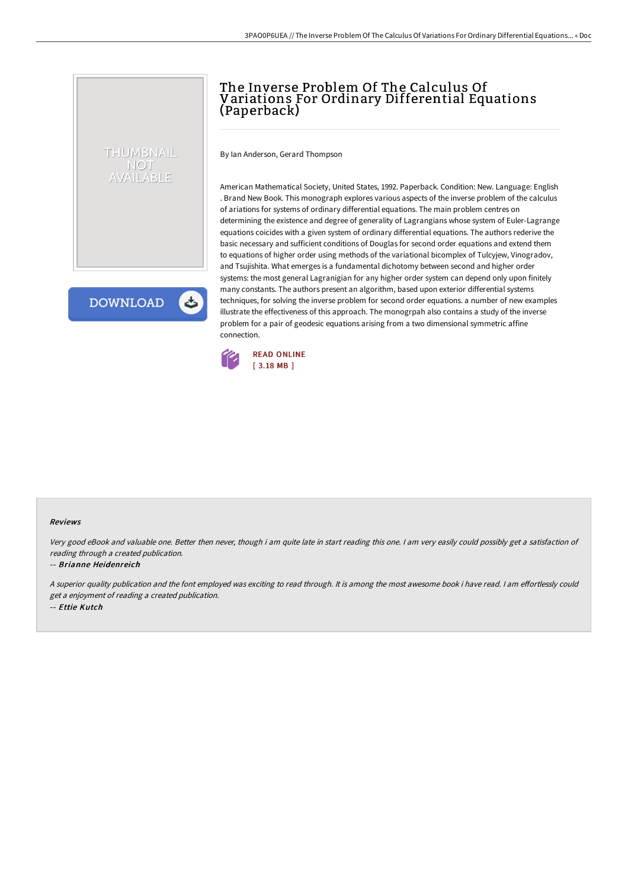## The Inverse Problem Of The Calculus Of Variations For Ordinary Differential Equations (Paperback)

By Ian Anderson, Gerard Thompson

American Mathematical Society, United States, 1992. Paperback. Condition: New. Language: English . Brand New Book. This monograph explores various aspects of the inverse problem of the calculus of ariations for systems of ordinary differential equations. The main problem centres on determining the existence and degree of generality of Lagrangians whose system of Euler-Lagrange equations coicides with a given system of ordinary differential equations. The authors rederive the basic necessary and sufficient conditions of Douglas for second order equations and extend them to equations of higher order using methods of the variational bicomplex of Tulcyjew, Vinogradov, and Tsujishita. What emerges is a fundamental dichotomy between second and higher order systems: the most general Lagranigian for any higher order system can depend only upon finitely many constants. The authors present an algorithm, based upon exterior differential systems techniques, for solving the inverse problem for second order equations. a number of new examples illustrate the effectiveness of this approach. The monogrpah also contains a study of the inverse problem for a pair of geodesic equations arising from a two dimensional symmetric affine connection.



## Reviews

Very good eBook and valuable one. Better then never, though i am quite late in start reading this one. <sup>I</sup> am very easily could possibly get <sup>a</sup> satisfaction of reading through <sup>a</sup> created publication.

## -- Brianne Heidenreich

THUMBNAIL NOT AVAILABLE

**DOWNLOAD** 

A superior quality publication and the font employed was exciting to read through. It is among the most awesome book i have read. I am effortlessly could get <sup>a</sup> enjoyment of reading <sup>a</sup> created publication. -- Ettie Kutch